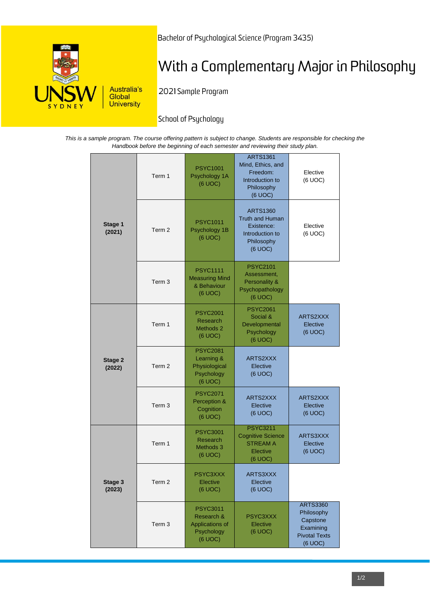

Bachelor of Psychological Science (Program 3435)

# With a Complementary Major in Philosophy

2021 Sample Program

# School of Psychology

*This is a sample program. The course offering pattern is subject to change. Students are responsible for checking the Handbook before the beginning of each semester and reviewing their study plan.*

| Stage 1<br>(2021) | Term 1            | <b>PSYC1001</b><br>Psychology 1A<br>(6 UOC)                               | <b>ARTS1361</b><br>Mind, Ethics, and<br>Freedom:<br>Introduction to<br>Philosophy<br>(6 UOC)        | Elective<br>(6 UOC)                                                                       |
|-------------------|-------------------|---------------------------------------------------------------------------|-----------------------------------------------------------------------------------------------------|-------------------------------------------------------------------------------------------|
|                   | Term <sub>2</sub> | <b>PSYC1011</b><br>Psychology 1B<br>(6 UOC)                               | <b>ARTS1360</b><br><b>Truth and Human</b><br>Existence:<br>Introduction to<br>Philosophy<br>(6 UOC) | Elective<br>(6 UOC)                                                                       |
|                   | Term <sub>3</sub> | <b>PSYC1111</b><br><b>Measuring Mind</b><br>& Behaviour<br>(6 UOC)        | <b>PSYC2101</b><br>Assessment,<br>Personality &<br>Psychopathology<br>(6 UOC)                       |                                                                                           |
| Stage 2<br>(2022) | Term 1            | <b>PSYC2001</b><br>Research<br>Methods 2<br>(6 UOC)                       | <b>PSYC2061</b><br>Social &<br>Developmental<br>Psychology<br>(6 UOC)                               | ARTS2XXX<br>Elective<br>(6 UOC)                                                           |
|                   | Term 2            | <b>PSYC2081</b><br>Learning &<br>Physiological<br>Psychology<br>(6 UOC)   | ARTS2XXX<br>Elective<br>(6 UOC)                                                                     |                                                                                           |
|                   | Term 3            | <b>PSYC2071</b><br>Perception &<br>Cognition<br>(6 UOC)                   | ARTS2XXX<br>Elective<br>(6 UOC)                                                                     | ARTS2XXX<br>Elective<br>(6 UOC)                                                           |
| Stage 3<br>(2023) | Term 1            | <b>PSYC3001</b><br>Research<br>Methods 3<br>(6 UOC)                       | <b>PSYC3211</b><br><b>Cognitive Science</b><br><b>STREAM A</b><br>Elective<br>(6 UOC)               | ARTS3XXX<br>Elective<br>(6 UOC)                                                           |
|                   | Term 2            | <b>PSYC3XXX</b><br>Elective<br>(6 UOC)                                    | ARTS3XXX<br>Elective<br>(6 UOC)                                                                     |                                                                                           |
|                   | Term 3            | <b>PSYC3011</b><br>Research &<br>Applications of<br>Psychology<br>(6 UOC) | PSYC3XXX<br>Elective<br>(6 UOC)                                                                     | <b>ARTS3360</b><br>Philosophy<br>Capstone<br>Examining<br><b>Pivotal Texts</b><br>(6 UOC) |